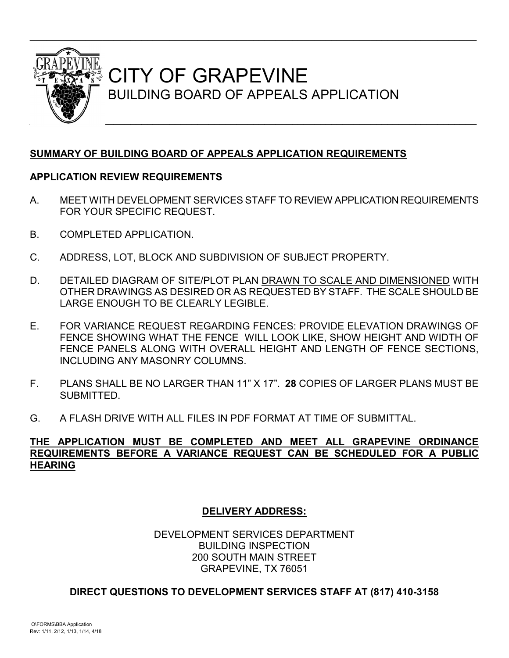

# CITY OF GRAPEVINE<br>BUILDING BOARD OF APPEALS APPLICATION

## **SUMMARY OF BUILDING BOARD OF APPEALS APPLICATION REQUIREMENTS**

## **APPLICATION REVIEW REQUIREMENTS**

- A. MEET WITH DEVELOPMENT SERVICES STAFF TO REVIEW APPLICATION REQUIREMENTS FOR YOUR SPECIFIC REQUEST.
- B. COMPLETED APPLICATION.
- C. ADDRESS, LOT, BLOCK AND SUBDIVISION OF SUBJECT PROPERTY.
- D. DETAILED DIAGRAM OF SITE/PLOT PLAN DRAWN TO SCALE AND DIMENSIONED WITH OTHER DRAWINGS AS DESIRED OR AS REQUESTED BY STAFF. THE SCALE SHOULD BE LARGE ENOUGH TO BE CLEARLY LEGIBLE.
- E. FOR VARIANCE REQUEST REGARDING FENCES: PROVIDE ELEVATION DRAWINGS OF FENCE SHOWING WHAT THE FENCE WILL LOOK LIKE, SHOW HEIGHT AND WIDTH OF FENCE PANELS ALONG WITH OVERALL HEIGHT AND LENGTH OF FENCE SECTIONS, INCLUDING ANY MASONRY COLUMNS.
- F. PLANS SHALL BE NO LARGER THAN 11" X 17". **28** COPIES OF LARGER PLANS MUST BE SUBMITTED.
- G. A FLASH DRIVE WITH ALL FILES IN PDF FORMAT AT TIME OF SUBMITTAL.

## **THE APPLICATION MUST BE COMPLETED AND MEET ALL GRAPEVINE ORDINANCE REQUIREMENTS BEFORE A VARIANCE REQUEST CAN BE SCHEDULED FOR A PUBLIC HEARING**

## **DELIVERY ADDRESS:**

#### DEVELOPMENT SERVICES DEPARTMENT BUILDING INSPECTION 200 SOUTH MAIN STREET GRAPEVINE, TX 76051

## **DIRECT QUESTIONS TO DEVELOPMENT SERVICES STAFF AT (817) 410-3158**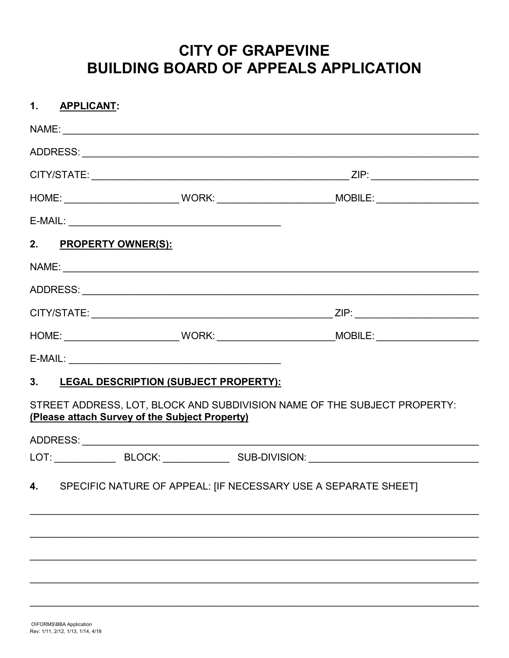## **CITY OF GRAPEVINE BUILDING BOARD OF APPEALS APPLICATION**

## $1<sub>1</sub>$ **APPLICANT:** CITY/STATE: ZIP: ZIP: HOME: WORK: WORK: MOBILE:  $2<sub>1</sub>$ **PROPERTY OWNER(S):** CITY/STATE: ZIP: ZIP: HOME: WORK: WORK: MOBILE: E-MAIL: E-MAIL: **LEGAL DESCRIPTION (SUBJECT PROPERTY):**  $3_{-}$ STREET ADDRESS, LOT, BLOCK AND SUBDIVISION NAME OF THE SUBJECT PROPERTY: (Please attach Survey of the Subject Property) LOT: BLOCK: SUB-DIVISION:  $\mathbf{4}$ SPECIFIC NATURE OF APPEAL: [IF NECESSARY USE A SEPARATE SHEET]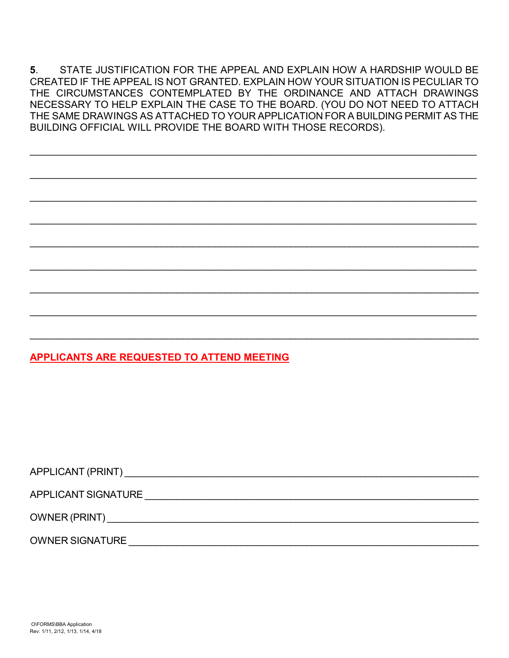**5**. STATE JUSTIFICATION FOR THE APPEAL AND EXPLAIN HOW A HARDSHIP WOULD BE CREATED IF THE APPEAL IS NOT GRANTED. EXPLAIN HOW YOUR SITUATION IS PECULIAR TO THE CIRCUMSTANCES CONTEMPLATED BY THE ORDINANCE AND ATTACH DRAWINGS NECESSARY TO HELP EXPLAIN THE CASE TO THE BOARD. (YOU DO NOT NEED TO ATTACH THE SAME DRAWINGS AS ATTACHED TO YOUR APPLICATION FOR A BUILDING PERMIT AS THE BUILDING OFFICIAL WILL PROVIDE THE BOARD WITH THOSE RECORDS).

\_\_\_\_\_\_\_\_\_\_\_\_\_\_\_\_\_\_\_\_\_\_\_\_\_\_\_\_\_\_\_\_\_\_\_\_\_\_\_\_\_\_\_\_\_\_\_\_\_\_\_\_\_\_\_\_\_\_\_\_\_\_\_\_\_\_\_\_\_\_\_\_\_\_\_\_\_\_\_\_

\_\_\_\_\_\_\_\_\_\_\_\_\_\_\_\_\_\_\_\_\_\_\_\_\_\_\_\_\_\_\_\_\_\_\_\_\_\_\_\_\_\_\_\_\_\_\_\_\_\_\_\_\_\_\_\_\_\_\_\_\_\_\_\_\_\_\_\_\_\_\_\_\_\_\_\_\_\_\_\_

\_\_\_\_\_\_\_\_\_\_\_\_\_\_\_\_\_\_\_\_\_\_\_\_\_\_\_\_\_\_\_\_\_\_\_\_\_\_\_\_\_\_\_\_\_\_\_\_\_\_\_\_\_\_\_\_\_\_\_\_\_\_\_\_\_\_\_\_\_\_\_\_\_\_\_\_\_\_\_\_

\_\_\_\_\_\_\_\_\_\_\_\_\_\_\_\_\_\_\_\_\_\_\_\_\_\_\_\_\_\_\_\_\_\_\_\_\_\_\_\_\_\_\_\_\_\_\_\_\_\_\_\_\_\_\_\_\_\_\_\_\_\_\_\_\_\_\_\_\_\_\_\_\_\_\_\_\_\_\_\_

\_\_\_\_\_\_\_\_\_\_\_\_\_\_\_\_\_\_\_\_\_\_\_\_\_\_\_\_\_\_\_\_\_\_\_\_\_\_\_\_\_\_\_\_\_\_\_\_\_\_\_\_\_\_\_\_\_\_\_\_\_\_\_\_\_\_\_\_\_\_\_\_\_\_\_\_\_\_\_\_\_\_\_

\_\_\_\_\_\_\_\_\_\_\_\_\_\_\_\_\_\_\_\_\_\_\_\_\_\_\_\_\_\_\_\_\_\_\_\_\_\_\_\_\_\_\_\_\_\_\_\_\_\_\_\_\_\_\_\_\_\_\_\_\_\_\_\_\_\_\_\_\_\_\_\_\_\_\_\_\_\_\_\_

\_\_\_\_\_\_\_\_\_\_\_\_\_\_\_\_\_\_\_\_\_\_\_\_\_\_\_\_\_\_\_\_\_\_\_\_\_\_\_\_\_\_\_\_\_\_\_\_\_\_\_\_\_\_\_\_\_\_\_\_\_\_\_\_\_\_\_\_\_\_\_\_\_\_\_\_\_\_\_\_\_\_\_

\_\_\_\_\_\_\_\_\_\_\_\_\_\_\_\_\_\_\_\_\_\_\_\_\_\_\_\_\_\_\_\_\_\_\_\_\_\_\_\_\_\_\_\_\_\_\_\_\_\_\_\_\_\_\_\_\_\_\_\_\_\_\_\_\_\_\_\_\_\_\_\_\_\_\_\_\_\_\_\_

\_\_\_\_\_\_\_\_\_\_\_\_\_\_\_\_\_\_\_\_\_\_\_\_\_\_\_\_\_\_\_\_\_\_\_\_\_\_\_\_\_\_\_\_\_\_\_\_\_\_\_\_\_\_\_\_\_\_\_\_\_\_\_\_\_\_\_\_\_\_\_\_\_\_\_\_\_\_\_\_\_\_\_

## **APPLICANTS ARE REQUESTED TO ATTEND MEETING**

| APPLICANT SIGNATURE                                                                                                                                                                                                           |
|-------------------------------------------------------------------------------------------------------------------------------------------------------------------------------------------------------------------------------|
| OWNER (PRINT) THE STATE OF THE STATE OF THE STATE OF THE STATE OF THE STATE OF THE STATE OF THE STATE OF THE STATE OF THE STATE OF THE STATE OF THE STATE OF THE STATE OF THE STATE OF THE STATE OF THE STATE OF THE STATE OF |
| <b>OWNER SIGNATURE</b>                                                                                                                                                                                                        |